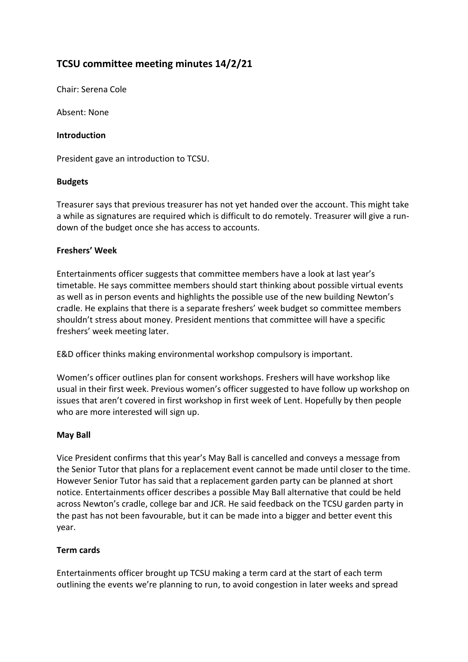# **TCSU committee meeting minutes 14/2/21**

Chair: Serena Cole

Absent: None

#### **Introduction**

President gave an introduction to TCSU.

### **Budgets**

Treasurer says that previous treasurer has not yet handed over the account. This might take a while as signatures are required which is difficult to do remotely. Treasurer will give a rundown of the budget once she has access to accounts.

### **Freshers' Week**

Entertainments officer suggests that committee members have a look at last year's timetable. He says committee members should start thinking about possible virtual events as well as in person events and highlights the possible use of the new building Newton's cradle. He explains that there is a separate freshers' week budget so committee members shouldn't stress about money. President mentions that committee will have a specific freshers' week meeting later.

E&D officer thinks making environmental workshop compulsory is important.

Women's officer outlines plan for consent workshops. Freshers will have workshop like usual in their first week. Previous women's officer suggested to have follow up workshop on issues that aren't covered in first workshop in first week of Lent. Hopefully by then people who are more interested will sign up.

#### **May Ball**

Vice President confirms that this year's May Ball is cancelled and conveys a message from the Senior Tutor that plans for a replacement event cannot be made until closer to the time. However Senior Tutor has said that a replacement garden party can be planned at short notice. Entertainments officer describes a possible May Ball alternative that could be held across Newton's cradle, college bar and JCR. He said feedback on the TCSU garden party in the past has not been favourable, but it can be made into a bigger and better event this year.

### **Term cards**

Entertainments officer brought up TCSU making a term card at the start of each term outlining the events we're planning to run, to avoid congestion in later weeks and spread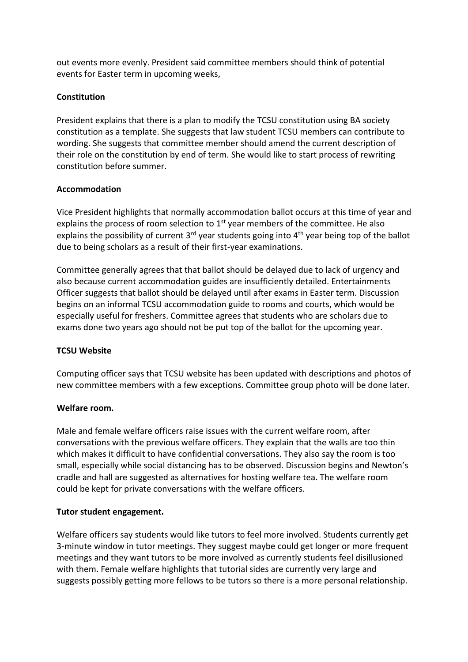out events more evenly. President said committee members should think of potential events for Easter term in upcoming weeks,

# **Constitution**

President explains that there is a plan to modify the TCSU constitution using BA society constitution as a template. She suggests that law student TCSU members can contribute to wording. She suggests that committee member should amend the current description of their role on the constitution by end of term. She would like to start process of rewriting constitution before summer.

### **Accommodation**

Vice President highlights that normally accommodation ballot occurs at this time of year and explains the process of room selection to  $1<sup>st</sup>$  year members of the committee. He also explains the possibility of current  $3^{rd}$  year students going into  $4^{th}$  year being top of the ballot due to being scholars as a result of their first-year examinations.

Committee generally agrees that that ballot should be delayed due to lack of urgency and also because current accommodation guides are insufficiently detailed. Entertainments Officer suggests that ballot should be delayed until after exams in Easter term. Discussion begins on an informal TCSU accommodation guide to rooms and courts, which would be especially useful for freshers. Committee agrees that students who are scholars due to exams done two years ago should not be put top of the ballot for the upcoming year.

### **TCSU Website**

Computing officer says that TCSU website has been updated with descriptions and photos of new committee members with a few exceptions. Committee group photo will be done later.

#### **Welfare room.**

Male and female welfare officers raise issues with the current welfare room, after conversations with the previous welfare officers. They explain that the walls are too thin which makes it difficult to have confidential conversations. They also say the room is too small, especially while social distancing has to be observed. Discussion begins and Newton's cradle and hall are suggested as alternatives for hosting welfare tea. The welfare room could be kept for private conversations with the welfare officers.

### **Tutor student engagement.**

Welfare officers say students would like tutors to feel more involved. Students currently get 3-minute window in tutor meetings. They suggest maybe could get longer or more frequent meetings and they want tutors to be more involved as currently students feel disillusioned with them. Female welfare highlights that tutorial sides are currently very large and suggests possibly getting more fellows to be tutors so there is a more personal relationship.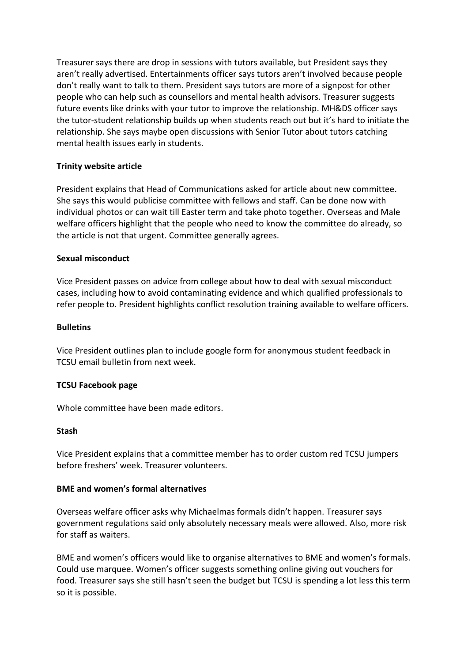Treasurer says there are drop in sessions with tutors available, but President says they aren't really advertised. Entertainments officer says tutors aren't involved because people don't really want to talk to them. President says tutors are more of a signpost for other people who can help such as counsellors and mental health advisors. Treasurer suggests future events like drinks with your tutor to improve the relationship. MH&DS officer says the tutor-student relationship builds up when students reach out but it's hard to initiate the relationship. She says maybe open discussions with Senior Tutor about tutors catching mental health issues early in students.

### **Trinity website article**

President explains that Head of Communications asked for article about new committee. She says this would publicise committee with fellows and staff. Can be done now with individual photos or can wait till Easter term and take photo together. Overseas and Male welfare officers highlight that the people who need to know the committee do already, so the article is not that urgent. Committee generally agrees.

#### **Sexual misconduct**

Vice President passes on advice from college about how to deal with sexual misconduct cases, including how to avoid contaminating evidence and which qualified professionals to refer people to. President highlights conflict resolution training available to welfare officers.

#### **Bulletins**

Vice President outlines plan to include google form for anonymous student feedback in TCSU email bulletin from next week.

#### **TCSU Facebook page**

Whole committee have been made editors.

#### **Stash**

Vice President explains that a committee member has to order custom red TCSU jumpers before freshers' week. Treasurer volunteers.

# **BME and women's formal alternatives**

Overseas welfare officer asks why Michaelmas formals didn't happen. Treasurer says government regulations said only absolutely necessary meals were allowed. Also, more risk for staff as waiters.

BME and women's officers would like to organise alternatives to BME and women's formals. Could use marquee. Women's officer suggests something online giving out vouchers for food. Treasurer says she still hasn't seen the budget but TCSU is spending a lot less this term so it is possible.